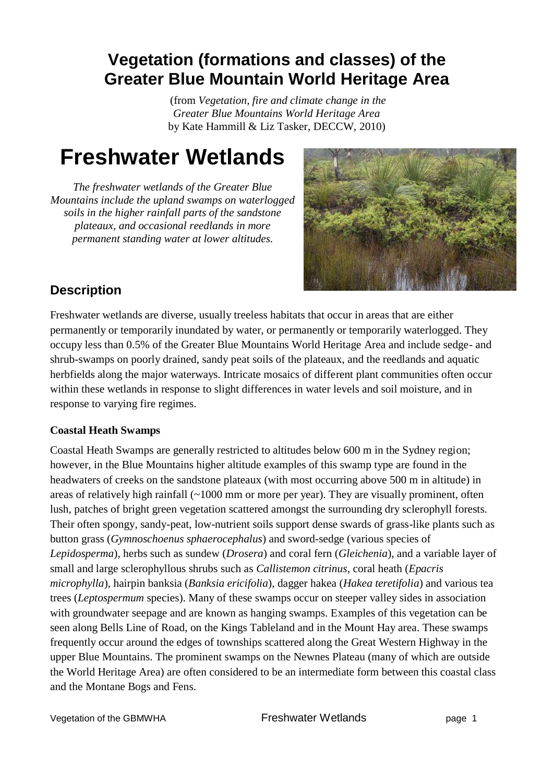# **Vegetation (formations and classes) of the Greater Blue Mountain World Heritage Area**

(from *Vegetation, fire and climate change in the Greater Blue Mountains World Heritage Area* by Kate Hammill & Liz Tasker, DECCW, 2010)

# **Freshwater Wetlands**

*The freshwater wetlands of the Greater Blue Mountains include the upland swamps on waterlogged soils in the higher rainfall parts of the sandstone plateaux, and occasional reedlands in more permanent standing water at lower altitudes.*



# **Description**

Freshwater wetlands are diverse, usually treeless habitats that occur in areas that are either permanently or temporarily inundated by water, or permanently or temporarily waterlogged. They occupy less than 0.5% of the Greater Blue Mountains World Heritage Area and include sedge- and shrub-swamps on poorly drained, sandy peat soils of the plateaux, and the reedlands and aquatic herbfields along the major waterways. Intricate mosaics of different plant communities often occur within these wetlands in response to slight differences in water levels and soil moisture, and in response to varying fire regimes.

## **Coastal Heath Swamps**

Coastal Heath Swamps are generally restricted to altitudes below 600 m in the Sydney region; however, in the Blue Mountains higher altitude examples of this swamp type are found in the headwaters of creeks on the sandstone plateaux (with most occurring above 500 m in altitude) in areas of relatively high rainfall (~1000 mm or more per year). They are visually prominent, often lush, patches of bright green vegetation scattered amongst the surrounding dry sclerophyll forests. Their often spongy, sandy-peat, low-nutrient soils support dense swards of grass-like plants such as button grass (*Gymnoschoenus sphaerocephalus*) and sword-sedge (various species of *Lepidosperma*), herbs such as sundew (*Drosera*) and coral fern (*Gleichenia*), and a variable layer of small and large sclerophyllous shrubs such as *Callistemon citrinus*, coral heath (*Epacris microphylla*), hairpin banksia (*Banksia ericifolia*), dagger hakea (*Hakea teretifolia*) and various tea trees (*Leptospermum* species). Many of these swamps occur on steeper valley sides in association with groundwater seepage and are known as hanging swamps. Examples of this vegetation can be seen along Bells Line of Road, on the Kings Tableland and in the Mount Hay area. These swamps frequently occur around the edges of townships scattered along the Great Western Highway in the upper Blue Mountains. The prominent swamps on the Newnes Plateau (many of which are outside the World Heritage Area) are often considered to be an intermediate form between this coastal class and the Montane Bogs and Fens.